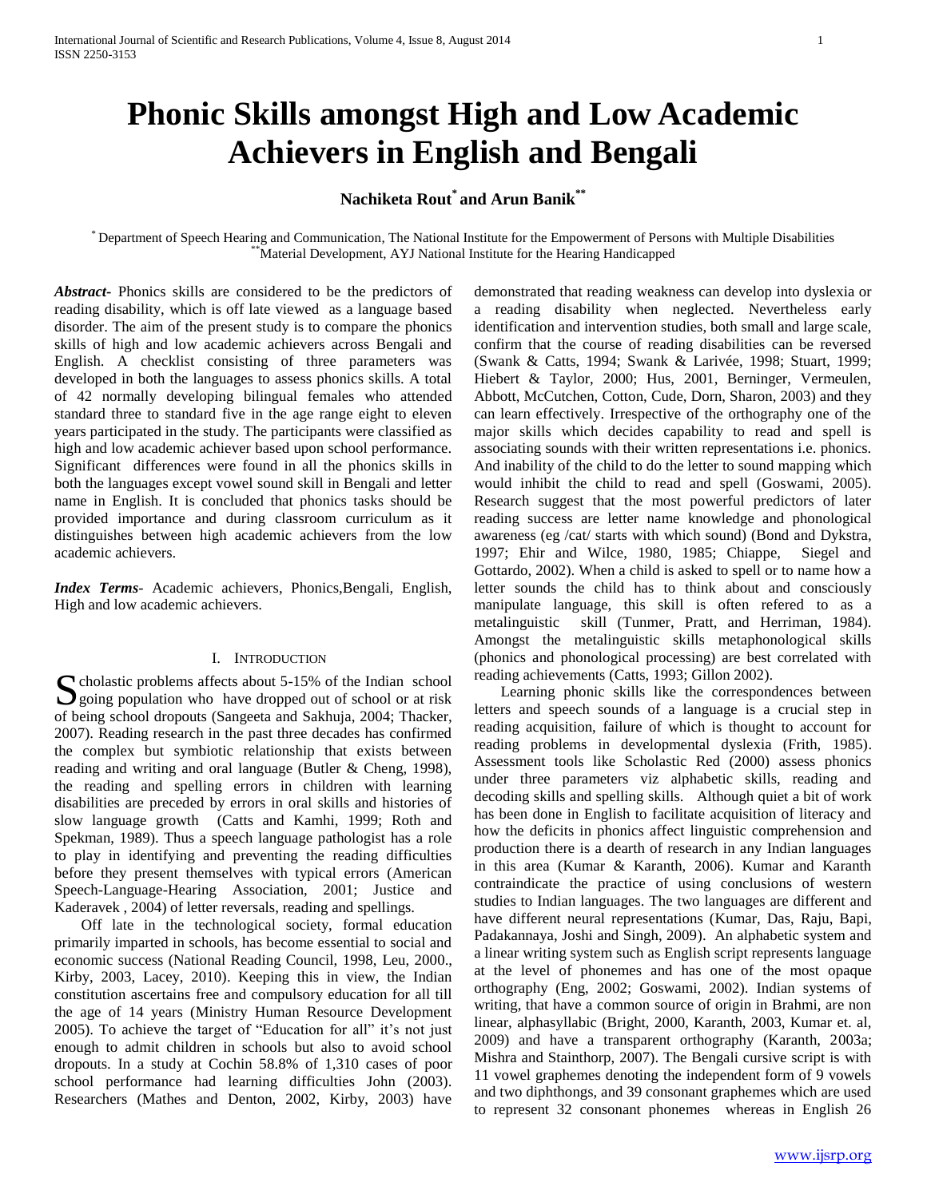# **Phonic Skills amongst High and Low Academic Achievers in English and Bengali**

## **Nachiketa Rout\* and Arun Banik\*\***

\* Department of Speech Hearing and Communication, The National Institute for the Empowerment of Persons with Multiple Disabilities Material Development, AYJ National Institute for the Hearing Handicapped

*Abstract***-** Phonics skills are considered to be the predictors of reading disability, which is off late viewed as a language based disorder. The aim of the present study is to compare the phonics skills of high and low academic achievers across Bengali and English. A checklist consisting of three parameters was developed in both the languages to assess phonics skills. A total of 42 normally developing bilingual females who attended standard three to standard five in the age range eight to eleven years participated in the study. The participants were classified as high and low academic achiever based upon school performance. Significant differences were found in all the phonics skills in both the languages except vowel sound skill in Bengali and letter name in English. It is concluded that phonics tasks should be provided importance and during classroom curriculum as it distinguishes between high academic achievers from the low academic achievers.

*Index Terms*- Academic achievers, Phonics,Bengali, English, High and low academic achievers.

## I. INTRODUCTION

S cholastic problems affects about 5-15% of the Indian school<br>going population who have dropped out of school or at risk  $\sum$  going population who have dropped out of school or at risk of being school dropouts (Sangeeta and Sakhuja, 2004; Thacker, 2007). Reading research in the past three decades has confirmed the complex but symbiotic relationship that exists between reading and writing and oral language (Butler & Cheng, 1998), the reading and spelling errors in children with learning disabilities are preceded by errors in oral skills and histories of slow language growth (Catts and Kamhi, 1999; Roth and Spekman, 1989). Thus a speech language pathologist has a role to play in identifying and preventing the reading difficulties before they present themselves with typical errors (American Speech-Language-Hearing Association, 2001; Justice and Kaderavek , 2004) of letter reversals, reading and spellings.

 Off late in the technological society, formal education primarily imparted in schools, has become essential to social and economic success (National Reading Council, 1998, Leu, 2000., Kirby, 2003, Lacey, 2010). Keeping this in view, the Indian constitution ascertains free and compulsory education for all till the age of 14 years (Ministry Human Resource Development 2005). To achieve the target of "Education for all" it's not just enough to admit children in schools but also to avoid school dropouts. In a study at Cochin 58.8% of 1,310 cases of poor school performance had learning difficulties John (2003). Researchers (Mathes and Denton, 2002, Kirby, 2003) have

demonstrated that reading weakness can develop into dyslexia or a reading disability when neglected. Nevertheless early identification and intervention studies, both small and large scale, confirm that the course of reading disabilities can be reversed (Swank & Catts, 1994; Swank & Larivée, 1998; Stuart, 1999; Hiebert & Taylor, 2000; Hus, 2001, Berninger, Vermeulen, Abbott, McCutchen, Cotton, Cude, Dorn, Sharon, 2003) and they can learn effectively. Irrespective of the orthography one of the major skills which decides capability to read and spell is associating sounds with their written representations i.e. phonics. And inability of the child to do the letter to sound mapping which would inhibit the child to read and spell (Goswami, 2005). Research suggest that the most powerful predictors of later reading success are letter name knowledge and phonological awareness (eg /cat/ starts with which sound) (Bond and Dykstra, 1997; Ehir and Wilce, 1980, 1985; Chiappe, Siegel and Gottardo, 2002). When a child is asked to spell or to name how a letter sounds the child has to think about and consciously manipulate language, this skill is often refered to as a metalinguistic skill (Tunmer, Pratt, and Herriman, 1984). Amongst the metalinguistic skills metaphonological skills (phonics and phonological processing) are best correlated with reading achievements (Catts, 1993; Gillon 2002).

 Learning phonic skills like the correspondences between letters and speech sounds of a language is a crucial step in reading acquisition, failure of which is thought to account for reading problems in developmental dyslexia (Frith, 1985). Assessment tools like Scholastic Red (2000) assess phonics under three parameters viz alphabetic skills, reading and decoding skills and spelling skills. Although quiet a bit of work has been done in English to facilitate acquisition of literacy and how the deficits in phonics affect linguistic comprehension and production there is a dearth of research in any Indian languages in this area (Kumar & Karanth, 2006). Kumar and Karanth contraindicate the practice of using conclusions of western studies to Indian languages. The two languages are different and have different neural representations (Kumar, Das, Raju, Bapi, Padakannaya, Joshi and Singh, 2009). An alphabetic system and a linear writing system such as English script represents language at the level of phonemes and has one of the most opaque orthography (Eng, 2002; Goswami, 2002). Indian systems of writing, that have a common source of origin in Brahmi, are non linear, alphasyllabic (Bright, 2000, Karanth, 2003, Kumar et. al, 2009) and have a transparent orthography (Karanth, 2003a; Mishra and Stainthorp, 2007). The Bengali cursive script is with 11 vowel graphemes denoting the independent form of 9 vowels and two diphthongs, and 39 consonant graphemes which are used to represent 32 consonant phonemes whereas in English 26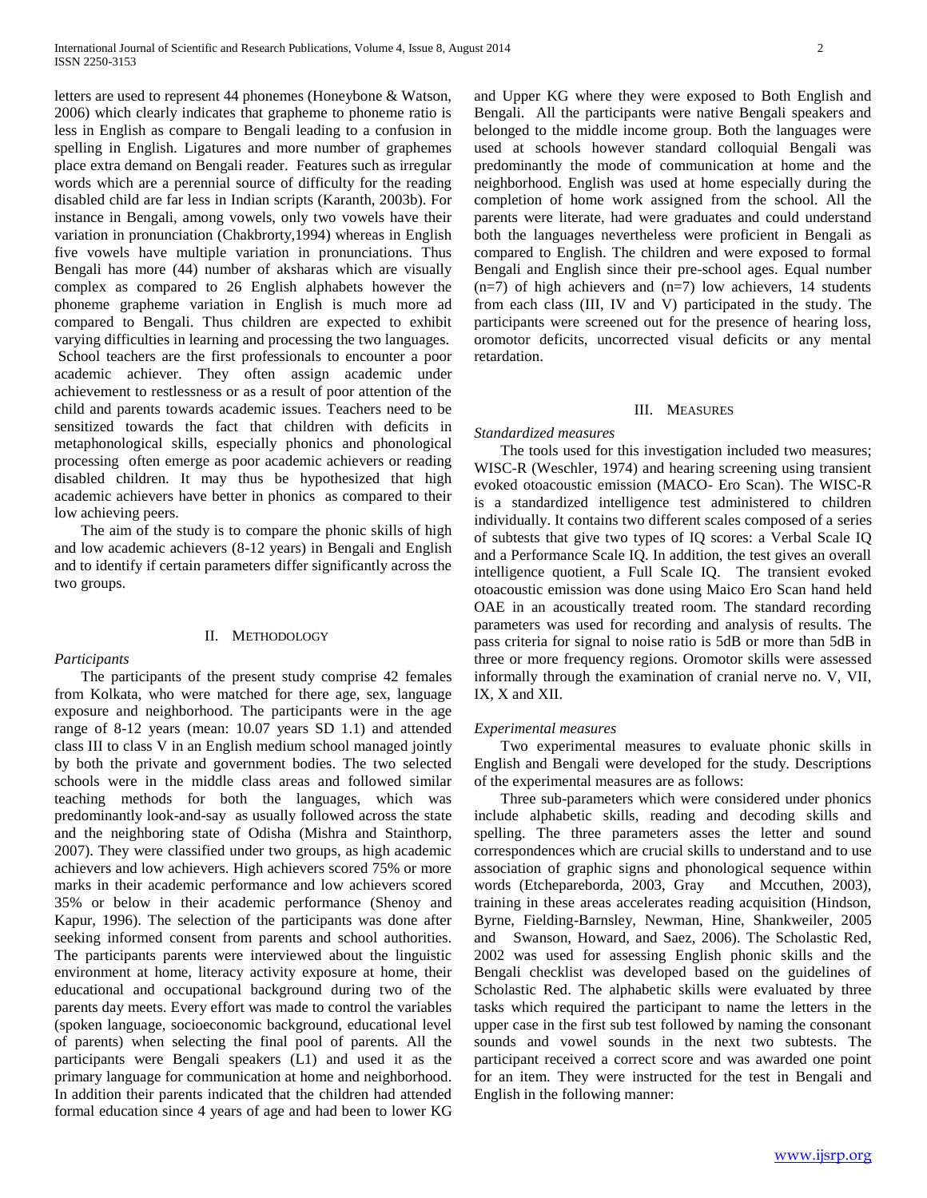letters are used to represent 44 phonemes (Honeybone & Watson, 2006) which clearly indicates that grapheme to phoneme ratio is less in English as compare to Bengali leading to a confusion in spelling in English. Ligatures and more number of graphemes place extra demand on Bengali reader. Features such as irregular words which are a perennial source of difficulty for the reading disabled child are far less in Indian scripts (Karanth, 2003b). For instance in Bengali, among vowels, only two vowels have their variation in pronunciation (Chakbrorty,1994) whereas in English five vowels have multiple variation in pronunciations. Thus Bengali has more (44) number of aksharas which are visually complex as compared to 26 English alphabets however the phoneme grapheme variation in English is much more ad compared to Bengali. Thus children are expected to exhibit varying difficulties in learning and processing the two languages. School teachers are the first professionals to encounter a poor academic achiever. They often assign academic under achievement to restlessness or as a result of poor attention of the child and parents towards academic issues. Teachers need to be sensitized towards the fact that children with deficits in metaphonological skills, especially phonics and phonological processing often emerge as poor academic achievers or reading disabled children. It may thus be hypothesized that high academic achievers have better in phonics as compared to their low achieving peers.

 The aim of the study is to compare the phonic skills of high and low academic achievers (8-12 years) in Bengali and English and to identify if certain parameters differ significantly across the two groups.

## II. METHODOLOGY

*Participants* 

 The participants of the present study comprise 42 females from Kolkata, who were matched for there age, sex, language exposure and neighborhood. The participants were in the age range of 8-12 years (mean: 10.07 years SD 1.1) and attended class III to class V in an English medium school managed jointly by both the private and government bodies. The two selected schools were in the middle class areas and followed similar teaching methods for both the languages, which was predominantly look-and-say as usually followed across the state and the neighboring state of Odisha (Mishra and Stainthorp, 2007). They were classified under two groups, as high academic achievers and low achievers. High achievers scored 75% or more marks in their academic performance and low achievers scored 35% or below in their academic performance (Shenoy and Kapur, 1996). The selection of the participants was done after seeking informed consent from parents and school authorities. The participants parents were interviewed about the linguistic environment at home, literacy activity exposure at home, their educational and occupational background during two of the parents day meets. Every effort was made to control the variables (spoken language, socioeconomic background, educational level of parents) when selecting the final pool of parents. All the participants were Bengali speakers (L1) and used it as the primary language for communication at home and neighborhood. In addition their parents indicated that the children had attended formal education since 4 years of age and had been to lower KG and Upper KG where they were exposed to Both English and Bengali. All the participants were native Bengali speakers and belonged to the middle income group. Both the languages were used at schools however standard colloquial Bengali was predominantly the mode of communication at home and the neighborhood. English was used at home especially during the completion of home work assigned from the school. All the parents were literate, had were graduates and could understand both the languages nevertheless were proficient in Bengali as compared to English. The children and were exposed to formal Bengali and English since their pre-school ages. Equal number  $(n=7)$  of high achievers and  $(n=7)$  low achievers, 14 students from each class (III, IV and V) participated in the study. The participants were screened out for the presence of hearing loss, oromotor deficits, uncorrected visual deficits or any mental retardation.

#### III. MEASURES

### *Standardized measures*

 The tools used for this investigation included two measures; WISC-R (Weschler, 1974) and hearing screening using transient evoked otoacoustic emission (MACO- Ero Scan). The WISC-R is a standardized intelligence test administered to children individually. It contains two different scales composed of a series of subtests that give two types of IQ scores: a Verbal Scale IQ and a Performance Scale IQ. In addition, the test gives an overall intelligence quotient, a Full Scale IQ. The transient evoked otoacoustic emission was done using Maico Ero Scan hand held OAE in an acoustically treated room. The standard recording parameters was used for recording and analysis of results. The pass criteria for signal to noise ratio is 5dB or more than 5dB in three or more frequency regions. Oromotor skills were assessed informally through the examination of cranial nerve no. V, VII, IX, X and XII.

### *Experimental measures*

 Two experimental measures to evaluate phonic skills in English and Bengali were developed for the study. Descriptions of the experimental measures are as follows:

 Three sub-parameters which were considered under phonics include alphabetic skills, reading and decoding skills and spelling. The three parameters asses the letter and sound correspondences which are crucial skills to understand and to use association of graphic signs and phonological sequence within words (Etchepareborda, 2003, Gray and Mccuthen, 2003), training in these areas accelerates reading acquisition (Hindson, Byrne, Fielding-Barnsley, Newman, Hine, Shankweiler, 2005 and Swanson, Howard, and Saez, 2006). The Scholastic Red, 2002 was used for assessing English phonic skills and the Bengali checklist was developed based on the guidelines of Scholastic Red. The alphabetic skills were evaluated by three tasks which required the participant to name the letters in the upper case in the first sub test followed by naming the consonant sounds and vowel sounds in the next two subtests. The participant received a correct score and was awarded one point for an item. They were instructed for the test in Bengali and English in the following manner: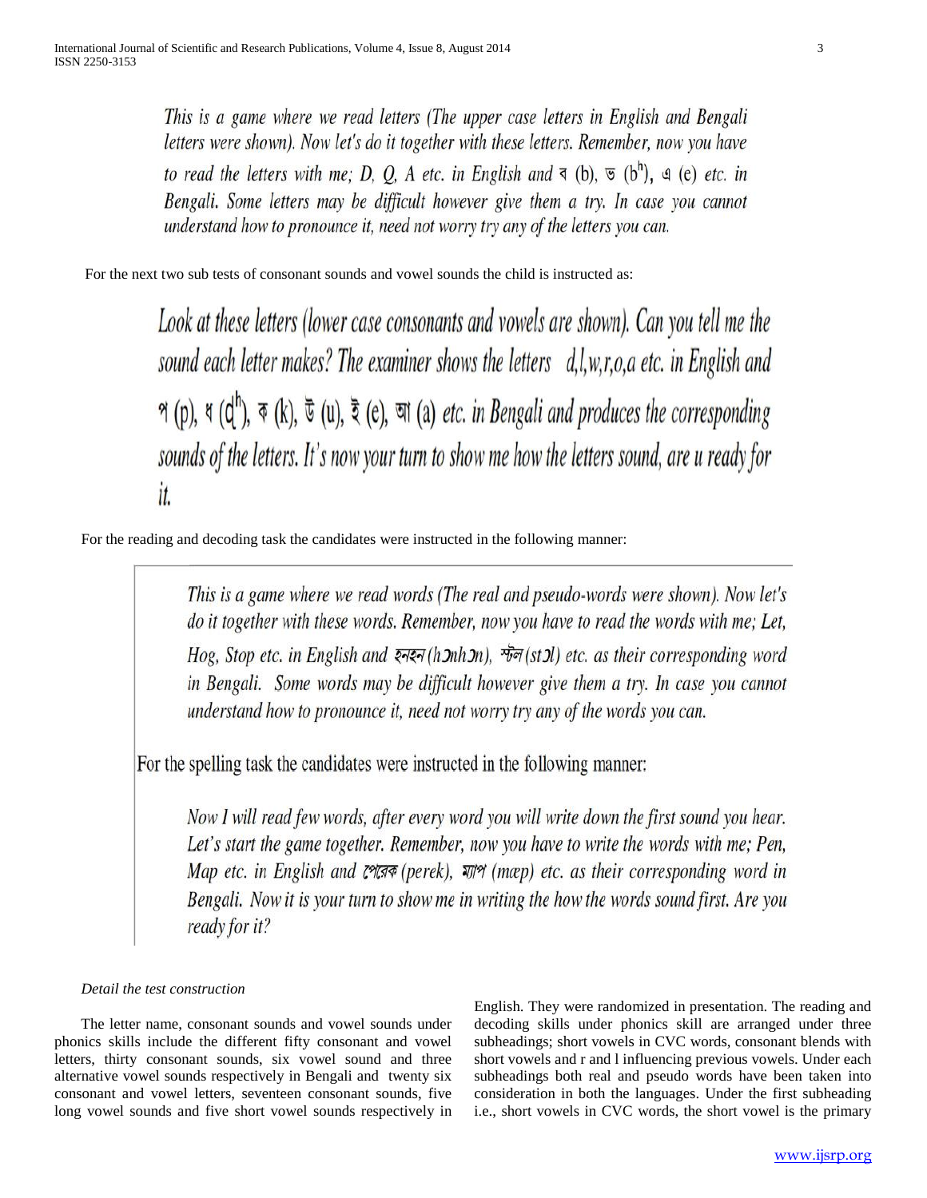This is a game where we read letters (The upper case letters in English and Bengali letters were shown). Now let's do it together with these letters. Remember, now you have to read the letters with me; D, Q, A etc. in English and  $\leq$  (b),  $\leq$  (b<sup>h</sup>),  $\leq$  (e) etc. in Bengali. Some letters may be difficult however give them a try. In case you cannot understand how to pronounce it, need not worry try any of the letters you can.

For the next two sub tests of consonant sounds and vowel sounds the child is instructed as:

Look at these letters (lower case consonants and vowels are shown). Can you tell me the sound each letter makes? The examiner shows the letters d,l,w,r,o,a etc. in English and প (p), ধ  $(q^h)$ ,  $\overline{\phi}$  (k),  $\overline{\phi}$  (u),  $\overline{\phi}$  (e),  $\overline{\phi}$  (a) *etc. in Bengali and produces the corresponding* sounds of the letters. It's now your turn to show me how the letters sound, are u ready for it.

For the reading and decoding task the candidates were instructed in the following manner:

This is a game where we read words (The real and pseudo-words were shown). Now let's do it together with these words. Remember, now you have to read the words with me; Let, Hog, Stop etc. in English and  $\overline{\mathcal{S}}$   $\overline{\mathcal{S}}$   $\overline{\mathcal{S}}$  (h)  $\overline{\mathcal{S}}$   $\overline{\mathcal{S}}$  (st) etc. as their corresponding word in Bengali. Some words may be difficult however give them a try. In case you cannot understand how to pronounce it, need not worry try any of the words you can.

For the spelling task the candidates were instructed in the following manner:

Now I will read few words, after every word you will write down the first sound you hear. Let's start the game together. Remember, now you have to write the words with me; Pen, Map etc. in English and  $\mathcal{C}^{\gamma}(\overline{A}^{\gamma})$  (perek),  $\overline{\gamma}$  (map) etc. as their corresponding word in Bengali. Now it is your turn to show me in writing the how the words sound first. Are you ready for it?

## *Detail the test construction*

 The letter name, consonant sounds and vowel sounds under phonics skills include the different fifty consonant and vowel letters, thirty consonant sounds, six vowel sound and three alternative vowel sounds respectively in Bengali and twenty six consonant and vowel letters, seventeen consonant sounds, five long vowel sounds and five short vowel sounds respectively in English. They were randomized in presentation. The reading and decoding skills under phonics skill are arranged under three subheadings; short vowels in CVC words, consonant blends with short vowels and r and l influencing previous vowels. Under each subheadings both real and pseudo words have been taken into consideration in both the languages. Under the first subheading i.e., short vowels in CVC words, the short vowel is the primary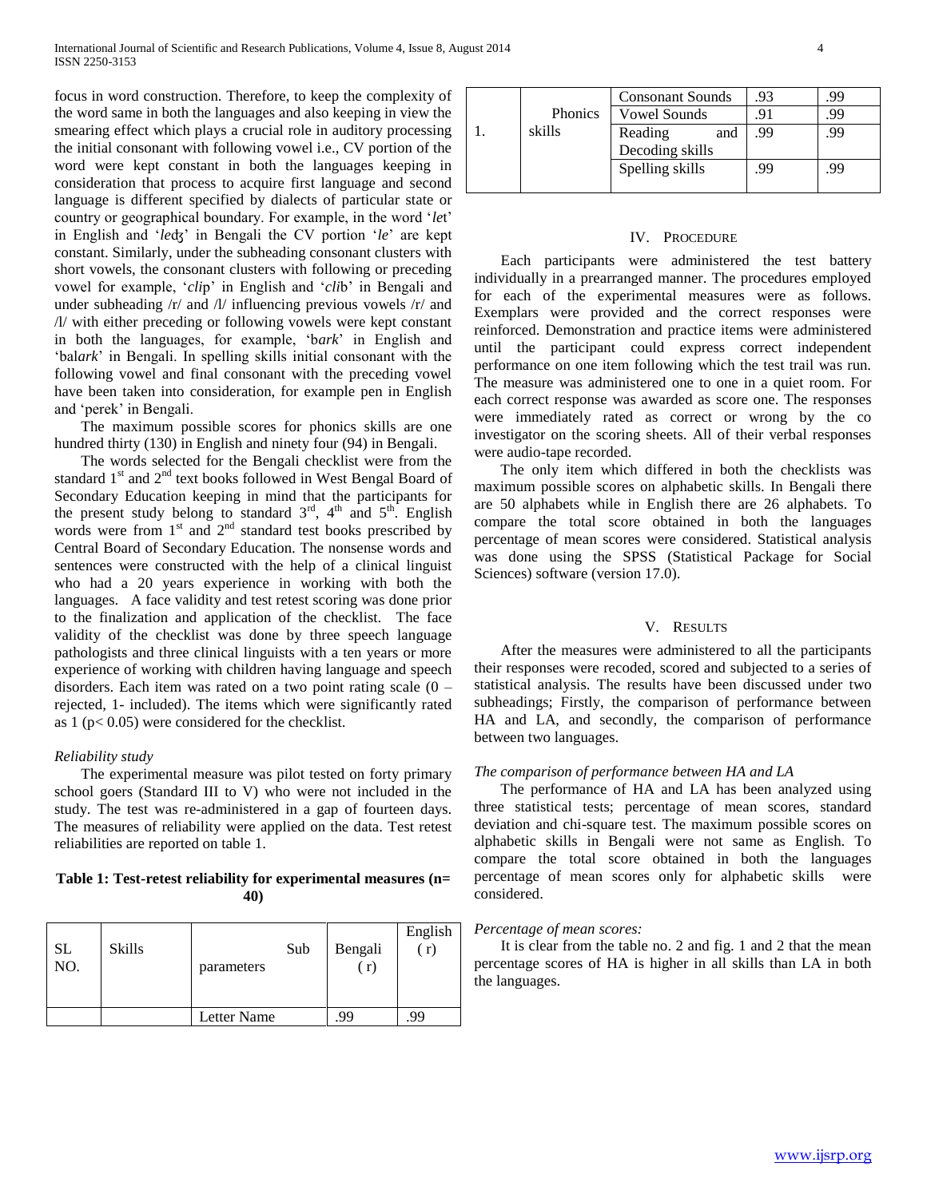focus in word construction. Therefore, to keep the complexity of the word same in both the languages and also keeping in view the smearing effect which plays a crucial role in auditory processing the initial consonant with following vowel i.e., CV portion of the word were kept constant in both the languages keeping in consideration that process to acquire first language and second language is different specified by dialects of particular state or country or geographical boundary. For example, in the word '*le*t' in English and '*le*ʤ' in Bengali the CV portion '*le*' are kept constant. Similarly, under the subheading consonant clusters with short vowels, the consonant clusters with following or preceding vowel for example, '*cli*p' in English and '*cli*b' in Bengali and under subheading /r/ and /l/ influencing previous vowels /r/ and /l/ with either preceding or following vowels were kept constant in both the languages, for example, 'b*ark*' in English and 'bal*ark*' in Bengali. In spelling skills initial consonant with the following vowel and final consonant with the preceding vowel have been taken into consideration, for example pen in English and 'perek' in Bengali.

 The maximum possible scores for phonics skills are one hundred thirty (130) in English and ninety four (94) in Bengali.

 The words selected for the Bengali checklist were from the standard  $1<sup>st</sup>$  and  $2<sup>nd</sup>$  text books followed in West Bengal Board of Secondary Education keeping in mind that the participants for the present study belong to standard  $3<sup>rd</sup>$ ,  $4<sup>th</sup>$  and  $5<sup>th</sup>$ . English words were from  $1<sup>st</sup>$  and  $2<sup>nd</sup>$  standard test books prescribed by Central Board of Secondary Education. The nonsense words and sentences were constructed with the help of a clinical linguist who had a 20 years experience in working with both the languages. A face validity and test retest scoring was done prior to the finalization and application of the checklist. The face validity of the checklist was done by three speech language pathologists and three clinical linguists with a ten years or more experience of working with children having language and speech disorders. Each item was rated on a two point rating scale  $(0$ rejected, 1- included). The items which were significantly rated as  $1 (p< 0.05)$  were considered for the checklist.

### *Reliability study*

 The experimental measure was pilot tested on forty primary school goers (Standard III to V) who were not included in the study. The test was re-administered in a gap of fourteen days. The measures of reliability were applied on the data. Test retest reliabilities are reported on table 1.

## **Table 1: Test-retest reliability for experimental measures (n= 40)**

| SL<br>NO. | <b>Skills</b> | Sub<br>parameters | Bengali<br>(r) | English<br>(r) |
|-----------|---------------|-------------------|----------------|----------------|
|           |               | Letter Name       | 99             | .99            |

|                | <b>Consonant Sounds</b> | .93 | 99 |
|----------------|-------------------------|-----|----|
| <b>Phonics</b> | <b>Vowel Sounds</b>     |     | 99 |
| skills         | Reading<br>and          | .99 | 99 |
|                | Decoding skills         |     |    |
|                | Spelling skills         | 99  | 99 |
|                |                         |     |    |

## IV. PROCEDURE

 Each participants were administered the test battery individually in a prearranged manner. The procedures employed for each of the experimental measures were as follows. Exemplars were provided and the correct responses were reinforced. Demonstration and practice items were administered until the participant could express correct independent performance on one item following which the test trail was run. The measure was administered one to one in a quiet room. For each correct response was awarded as score one. The responses were immediately rated as correct or wrong by the co investigator on the scoring sheets. All of their verbal responses were audio-tape recorded.

 The only item which differed in both the checklists was maximum possible scores on alphabetic skills. In Bengali there are 50 alphabets while in English there are 26 alphabets. To compare the total score obtained in both the languages percentage of mean scores were considered. Statistical analysis was done using the SPSS (Statistical Package for Social Sciences) software (version 17.0).

### V. RESULTS

 After the measures were administered to all the participants their responses were recoded, scored and subjected to a series of statistical analysis. The results have been discussed under two subheadings; Firstly, the comparison of performance between HA and LA, and secondly, the comparison of performance between two languages.

## *The comparison of performance between HA and LA*

 The performance of HA and LA has been analyzed using three statistical tests; percentage of mean scores, standard deviation and chi-square test. The maximum possible scores on alphabetic skills in Bengali were not same as English. To compare the total score obtained in both the languages percentage of mean scores only for alphabetic skills were considered.

### *Percentage of mean scores:*

 It is clear from the table no. 2 and fig. 1 and 2 that the mean percentage scores of HA is higher in all skills than LA in both the languages.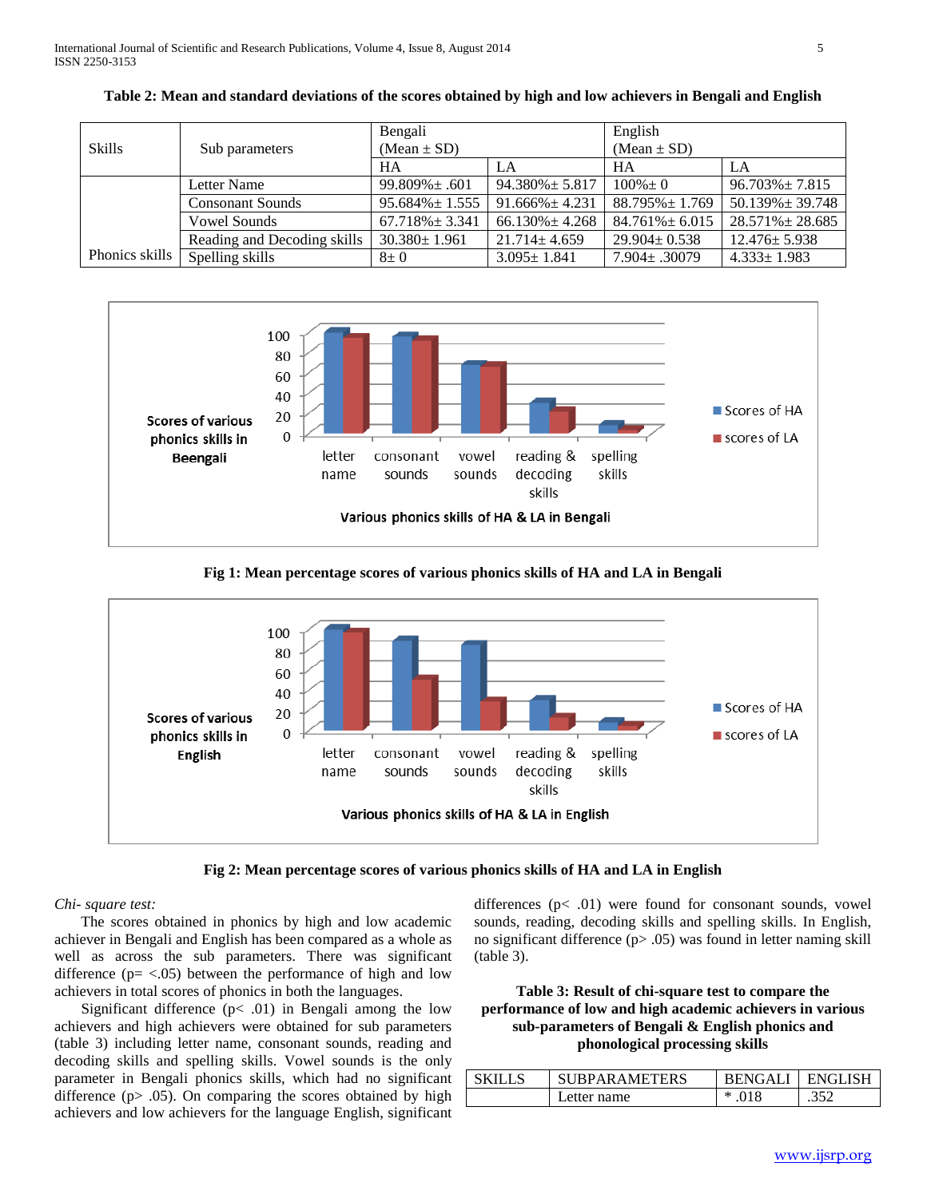|                  |                             | Bengali              |                      | English              |                       |
|------------------|-----------------------------|----------------------|----------------------|----------------------|-----------------------|
| <b>Skills</b>    | Sub parameters              | $(Mean \pm SD)$      |                      | $(Mean \pm SD)$      |                       |
|                  |                             |                      | LA                   | HA                   | LA                    |
|                  | Letter Name                 | $99.809\% \pm .601$  | $94.380\% \pm 5.817$ | $100\% \pm 0$        | $96.703\% \pm 7.815$  |
|                  | <b>Consonant Sounds</b>     | $95.684\% \pm 1.555$ | $91.666\% \pm 4.231$ | $88.795\% \pm 1.769$ | $50.139\% \pm 39.748$ |
|                  | <b>Vowel Sounds</b>         | $67.718\% \pm 3.341$ | $66.130\% \pm 4.268$ | $84.761\% \pm 6.015$ | $28.571\% \pm 28.685$ |
|                  | Reading and Decoding skills | $30.380 \pm 1.961$   | $21.714 \pm 4.659$   | $29.904 \pm 0.538$   | $12.476 \pm 5.938$    |
| Phonics skills I | Spelling skills             | $8\pm0$              | $3.095 \pm 1.841$    | $7.904 \pm .30079$   | $4.333 \pm 1.983$     |

**Table 2: Mean and standard deviations of the scores obtained by high and low achievers in Bengali and English**



## **Fig 1: Mean percentage scores of various phonics skills of HA and LA in Bengali**



**Fig 2: Mean percentage scores of various phonics skills of HA and LA in English**

## *Chi- square test:*

 The scores obtained in phonics by high and low academic achiever in Bengali and English has been compared as a whole as well as across the sub parameters. There was significant difference  $(p = <.05)$  between the performance of high and low achievers in total scores of phonics in both the languages.

Significant difference  $(p<.01)$  in Bengali among the low achievers and high achievers were obtained for sub parameters (table 3) including letter name, consonant sounds, reading and decoding skills and spelling skills. Vowel sounds is the only parameter in Bengali phonics skills, which had no significant difference  $(p > .05)$ . On comparing the scores obtained by high achievers and low achievers for the language English, significant

differences  $(p<.01)$  were found for consonant sounds, vowel sounds, reading, decoding skills and spelling skills. In English, no significant difference (p> .05) was found in letter naming skill (table 3).

**Table 3: Result of chi-square test to compare the performance of low and high academic achievers in various sub-parameters of Bengali & English phonics and phonological processing skills**

| <b>SUBPARAMETERS</b> | <b>BENGALI</b> | <b>FNGI ISH</b> |
|----------------------|----------------|-----------------|
| Letter name          | $* .018$       | 350<br>ے ر…     |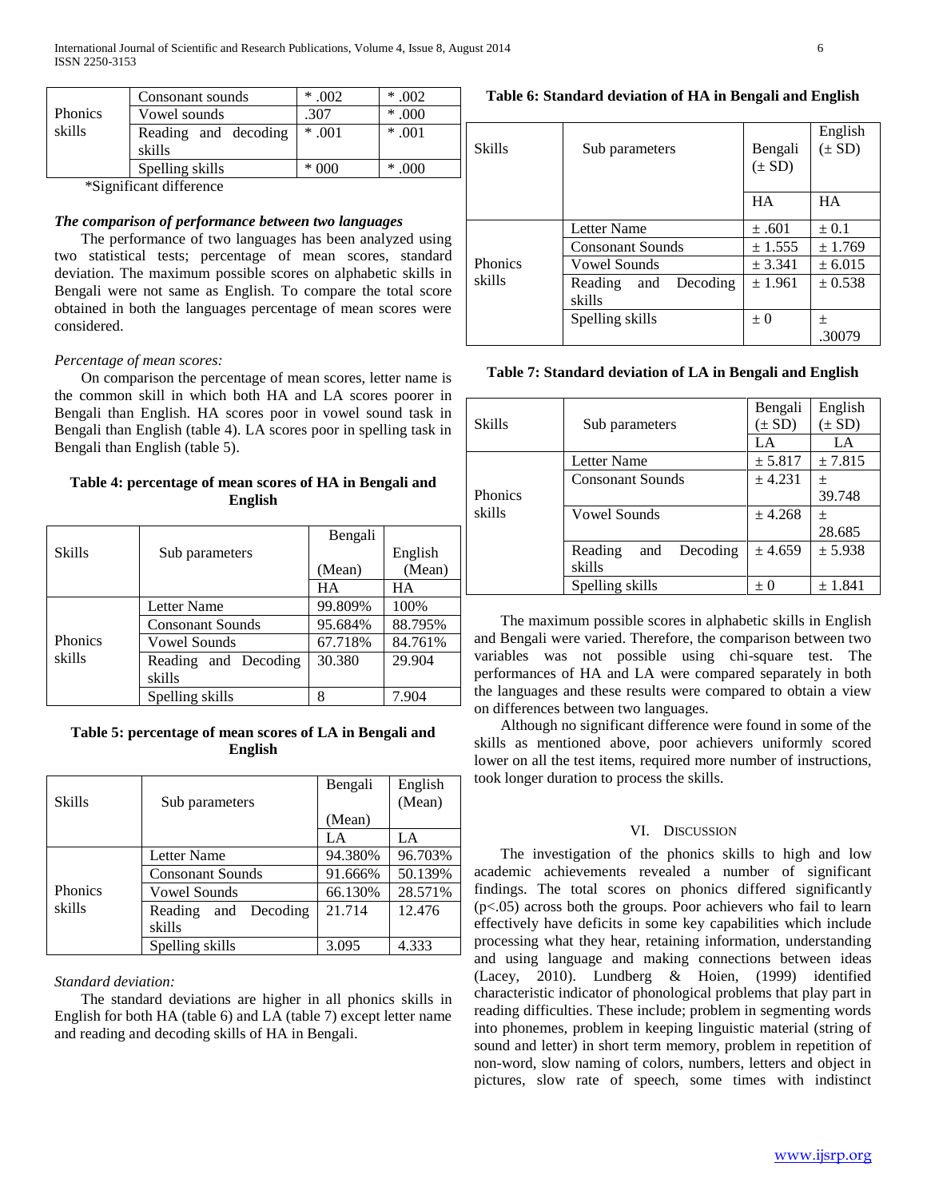|                | Consonant sounds               | $*.002$ | $*.002$  |
|----------------|--------------------------------|---------|----------|
| <b>Phonics</b> | Vowel sounds                   | .307    | $*000$   |
| skills         | Reading and decoding<br>skills | $*$ 001 | $* .001$ |
|                | Spelling skills                | $*000$  | $*000$   |

\*Significant difference

## *The comparison of performance between two languages*

 The performance of two languages has been analyzed using two statistical tests; percentage of mean scores, standard deviation. The maximum possible scores on alphabetic skills in Bengali were not same as English. To compare the total score obtained in both the languages percentage of mean scores were considered.

## *Percentage of mean scores:*

 On comparison the percentage of mean scores, letter name is the common skill in which both HA and LA scores poorer in Bengali than English. HA scores poor in vowel sound task in Bengali than English (table 4). LA scores poor in spelling task in Bengali than English (table 5).

## **Table 4: percentage of mean scores of HA in Bengali and English**

|         |                         | Bengali |         |
|---------|-------------------------|---------|---------|
| Skills  | Sub parameters          |         | English |
|         |                         | (Mean)  | (Mean)  |
|         |                         | HA      | HА      |
|         | Letter Name             | 99.809% | 100%    |
|         | <b>Consonant Sounds</b> | 95.684% | 88.795% |
| Phonics | Vowel Sounds            | 67.718% | 84.761% |
| skills  | Reading and Decoding    | 30.380  | 29.904  |
|         | skills                  |         |         |
|         | Spelling skills         | 8       | 7.904   |

## **Table 5: percentage of mean scores of LA in Bengali and English**

| <b>Skills</b>  | Sub parameters          | Bengali | English<br>(Mean) |
|----------------|-------------------------|---------|-------------------|
|                |                         | (Mean)  |                   |
|                |                         | LA      | LA                |
|                | Letter Name             | 94.380% | 96.703%           |
|                | <b>Consonant Sounds</b> | 91.666% | 50.139%           |
| <b>Phonics</b> | Vowel Sounds            | 66.130% | 28.571%           |
| skills         | Reading<br>and Decoding | 21.714  | 12.476            |
|                | skills                  |         |                   |
|                | Spelling skills         | 3.095   | 4.333             |

### *Standard deviation:*

 The standard deviations are higher in all phonics skills in English for both HA (table 6) and LA (table 7) except letter name and reading and decoding skills of HA in Bengali.

## **Table 6: Standard deviation of HA in Bengali and English**

| Skills            | Sub parameters             | Bengali<br>$(\pm SD)$ | English<br>$(\pm SD)$ |
|-------------------|----------------------------|-----------------------|-----------------------|
|                   |                            | <b>HA</b>             | <b>HA</b>             |
|                   | Letter Name                | ±.601                 | $\pm 0.1$             |
|                   | <b>Consonant Sounds</b>    | ± 1.555               | ± 1.769               |
| Phonics<br>skills | Vowel Sounds               | ± 3.341               | ± 6.015               |
|                   | Decoding<br>Reading<br>and | ± 1.961               | ± 0.538               |
|                   | skills                     |                       |                       |
|                   | Spelling skills            | $\pm 0$               | 土                     |
|                   |                            |                       | .30079                |

### **Table 7: Standard deviation of LA in Bengali and English**

| Skills  | Sub parameters             | Bengali<br>$(\pm SD)$ | English<br>$(\pm SD)$ |
|---------|----------------------------|-----------------------|-----------------------|
|         |                            | l .A                  | LA                    |
|         | Letter Name                | ± 5.817               | ± 7.815               |
|         | <b>Consonant Sounds</b>    | ± 4.231               | 土                     |
| Phonics |                            |                       | 39.748                |
| skills  | <b>Vowel Sounds</b>        | ± 4.268               | 土                     |
|         |                            |                       | 28.685                |
|         | Reading<br>Decoding<br>and | ± 4.659               | ± 5.938               |
|         | skills                     |                       |                       |
|         | Spelling skills            | $+$ ()                | ± 1.841               |

 The maximum possible scores in alphabetic skills in English and Bengali were varied. Therefore, the comparison between two variables was not possible using chi-square test. The performances of HA and LA were compared separately in both the languages and these results were compared to obtain a view on differences between two languages.

 Although no significant difference were found in some of the skills as mentioned above, poor achievers uniformly scored lower on all the test items, required more number of instructions, took longer duration to process the skills.

## VI. DISCUSSION

 The investigation of the phonics skills to high and low academic achievements revealed a number of significant findings. The total scores on phonics differed significantly  $(p<.05)$  across both the groups. Poor achievers who fail to learn effectively have deficits in some key capabilities which include processing what they hear, retaining information, understanding and using language and making connections between ideas (Lacey, 2010). Lundberg & Hoien, (1999) identified characteristic indicator of phonological problems that play part in reading difficulties. These include; problem in segmenting words into phonemes, problem in keeping linguistic material (string of sound and letter) in short term memory, problem in repetition of non-word, slow naming of colors, numbers, letters and object in pictures, slow rate of speech, some times with indistinct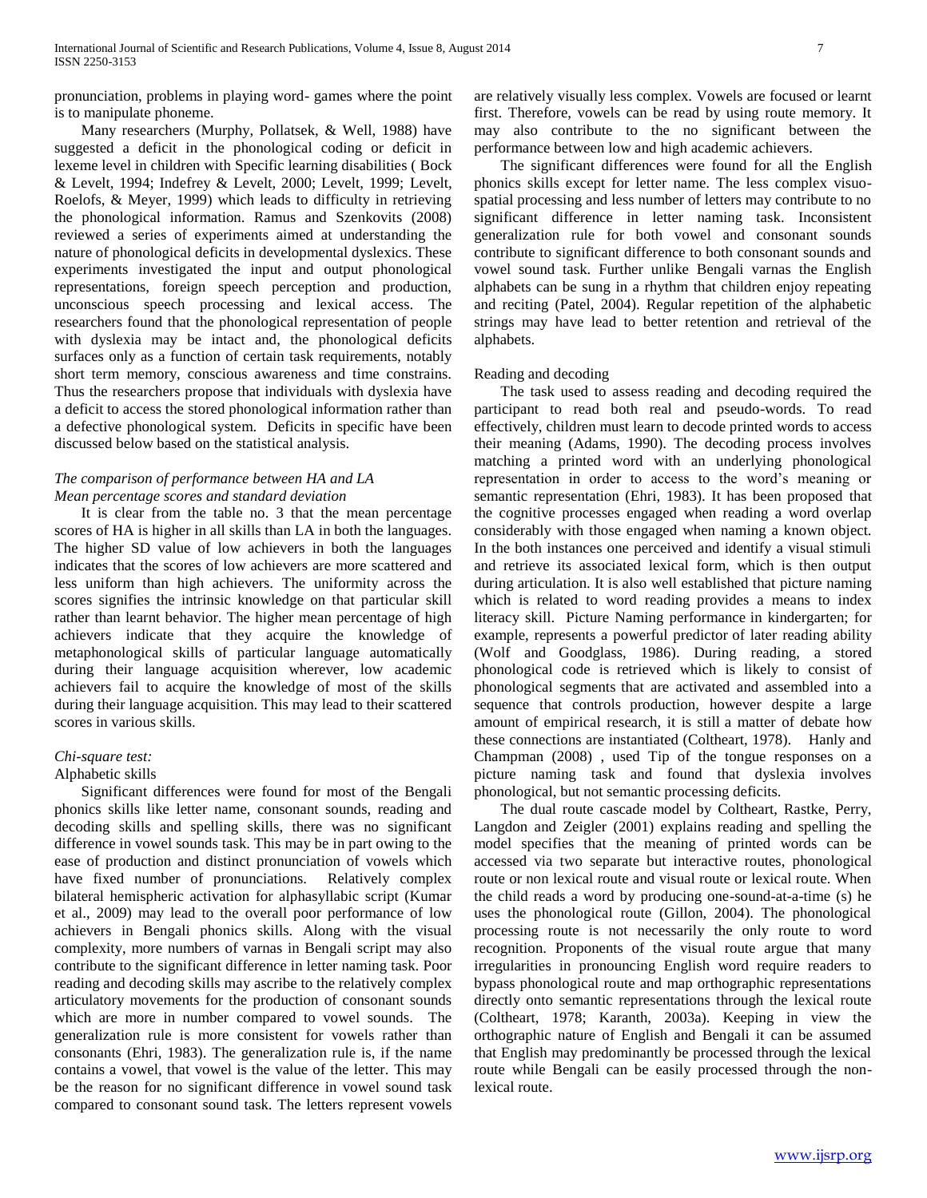pronunciation, problems in playing word- games where the point is to manipulate phoneme.

 Many researchers (Murphy, Pollatsek, & Well, 1988) have suggested a deficit in the phonological coding or deficit in lexeme level in children with Specific learning disabilities ( Bock & Levelt, 1994; Indefrey & Levelt, 2000; Levelt, 1999; Levelt, Roelofs, & Meyer, 1999) which leads to difficulty in retrieving the phonological information. Ramus and Szenkovits (2008) reviewed a series of experiments aimed at understanding the nature of phonological deficits in developmental dyslexics. These experiments investigated the input and output phonological representations, foreign speech perception and production, unconscious speech processing and lexical access. The researchers found that the phonological representation of people with dyslexia may be intact and, the phonological deficits surfaces only as a function of certain task requirements, notably short term memory, conscious awareness and time constrains. Thus the researchers propose that individuals with dyslexia have a deficit to access the stored phonological information rather than a defective phonological system. Deficits in specific have been discussed below based on the statistical analysis.

## *The comparison of performance between HA and LA Mean percentage scores and standard deviation*

 It is clear from the table no. 3 that the mean percentage scores of HA is higher in all skills than LA in both the languages. The higher SD value of low achievers in both the languages indicates that the scores of low achievers are more scattered and less uniform than high achievers. The uniformity across the scores signifies the intrinsic knowledge on that particular skill rather than learnt behavior. The higher mean percentage of high achievers indicate that they acquire the knowledge of metaphonological skills of particular language automatically during their language acquisition wherever, low academic achievers fail to acquire the knowledge of most of the skills during their language acquisition. This may lead to their scattered scores in various skills.

## *Chi-square test:*

## Alphabetic skills

 Significant differences were found for most of the Bengali phonics skills like letter name, consonant sounds, reading and decoding skills and spelling skills, there was no significant difference in vowel sounds task. This may be in part owing to the ease of production and distinct pronunciation of vowels which have fixed number of pronunciations. Relatively complex bilateral hemispheric activation for alphasyllabic script (Kumar et al., 2009) may lead to the overall poor performance of low achievers in Bengali phonics skills. Along with the visual complexity, more numbers of varnas in Bengali script may also contribute to the significant difference in letter naming task. Poor reading and decoding skills may ascribe to the relatively complex articulatory movements for the production of consonant sounds which are more in number compared to vowel sounds. The generalization rule is more consistent for vowels rather than consonants (Ehri, 1983). The generalization rule is, if the name contains a vowel, that vowel is the value of the letter. This may be the reason for no significant difference in vowel sound task compared to consonant sound task. The letters represent vowels

are relatively visually less complex. Vowels are focused or learnt first. Therefore, vowels can be read by using route memory. It may also contribute to the no significant between the performance between low and high academic achievers.

 The significant differences were found for all the English phonics skills except for letter name. The less complex visuospatial processing and less number of letters may contribute to no significant difference in letter naming task. Inconsistent generalization rule for both vowel and consonant sounds contribute to significant difference to both consonant sounds and vowel sound task. Further unlike Bengali varnas the English alphabets can be sung in a rhythm that children enjoy repeating and reciting (Patel, 2004). Regular repetition of the alphabetic strings may have lead to better retention and retrieval of the alphabets.

## Reading and decoding

 The task used to assess reading and decoding required the participant to read both real and pseudo-words. To read effectively, children must learn to decode printed words to access their meaning (Adams, 1990). The decoding process involves matching a printed word with an underlying phonological representation in order to access to the word's meaning or semantic representation (Ehri, 1983). It has been proposed that the cognitive processes engaged when reading a word overlap considerably with those engaged when naming a known object. In the both instances one perceived and identify a visual stimuli and retrieve its associated lexical form, which is then output during articulation. It is also well established that picture naming which is related to word reading provides a means to index literacy skill. Picture Naming performance in kindergarten; for example, represents a powerful predictor of later reading ability (Wolf and Goodglass, 1986). During reading, a stored phonological code is retrieved which is likely to consist of phonological segments that are activated and assembled into a sequence that controls production, however despite a large amount of empirical research, it is still a matter of debate how these connections are instantiated (Coltheart, 1978). Hanly and Champman (2008) , used Tip of the tongue responses on a picture naming task and found that dyslexia involves phonological, but not semantic processing deficits.

 The dual route cascade model by Coltheart, Rastke, Perry, Langdon and Zeigler (2001) explains reading and spelling the model specifies that the meaning of printed words can be accessed via two separate but interactive routes, phonological route or non lexical route and visual route or lexical route. When the child reads a word by producing one-sound-at-a-time (s) he uses the phonological route (Gillon, 2004). The phonological processing route is not necessarily the only route to word recognition. Proponents of the visual route argue that many irregularities in pronouncing English word require readers to bypass phonological route and map orthographic representations directly onto semantic representations through the lexical route (Coltheart, 1978; Karanth, 2003a). Keeping in view the orthographic nature of English and Bengali it can be assumed that English may predominantly be processed through the lexical route while Bengali can be easily processed through the nonlexical route.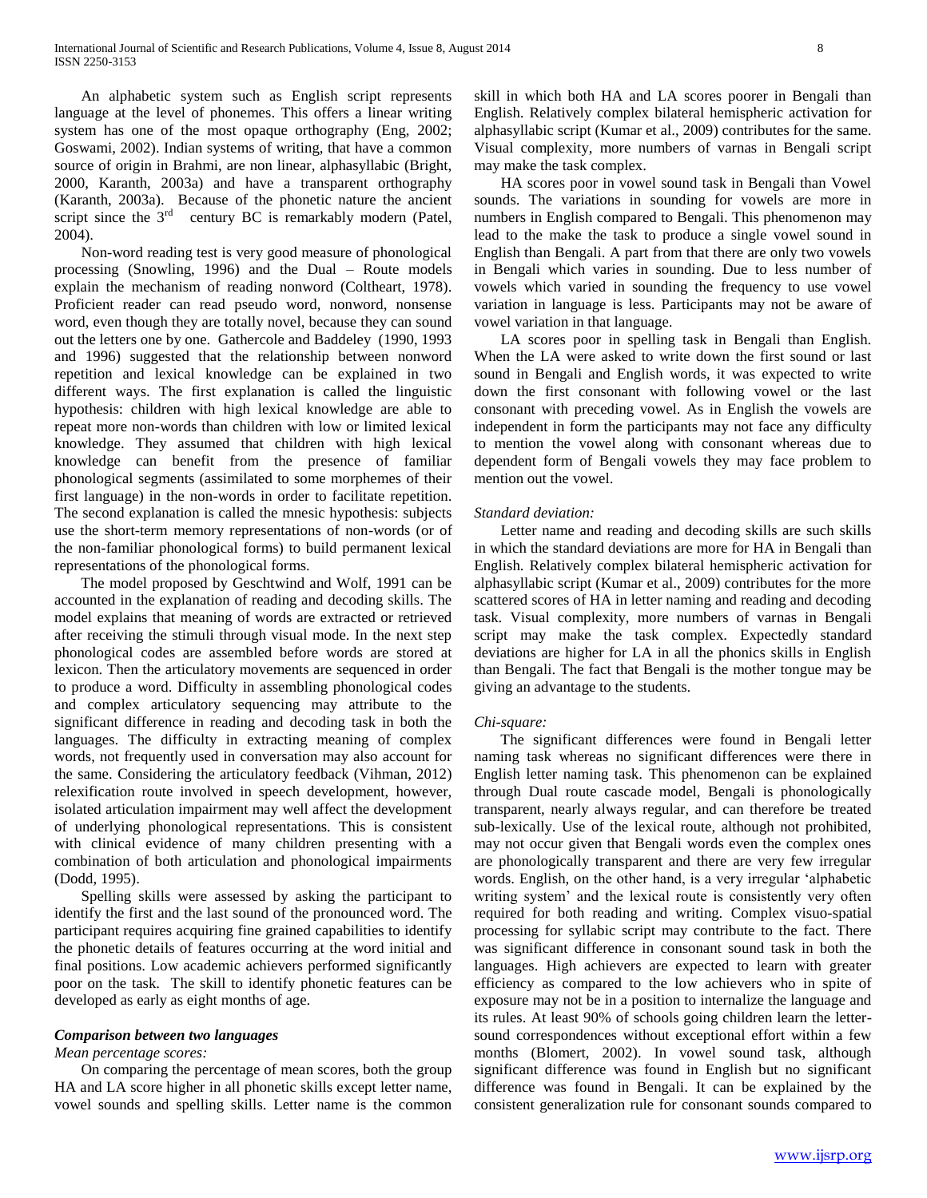An alphabetic system such as English script represents language at the level of phonemes. This offers a linear writing system has one of the most opaque orthography (Eng, 2002; Goswami, 2002). Indian systems of writing, that have a common source of origin in Brahmi, are non linear, alphasyllabic (Bright, 2000, Karanth, 2003a) and have a transparent orthography (Karanth, 2003a). Because of the phonetic nature the ancient script since the  $3<sup>rd</sup>$  century BC is remarkably modern (Patel, 2004).

 Non-word reading test is very good measure of phonological processing (Snowling, 1996) and the Dual – Route models explain the mechanism of reading nonword (Coltheart, 1978). Proficient reader can read pseudo word, nonword, nonsense word, even though they are totally novel, because they can sound out the letters one by one. Gathercole and Baddeley (1990, 1993 and 1996) suggested that the relationship between nonword repetition and lexical knowledge can be explained in two different ways. The first explanation is called the linguistic hypothesis: children with high lexical knowledge are able to repeat more non-words than children with low or limited lexical knowledge. They assumed that children with high lexical knowledge can benefit from the presence of familiar phonological segments (assimilated to some morphemes of their first language) in the non-words in order to facilitate repetition. The second explanation is called the mnesic hypothesis: subjects use the short-term memory representations of non-words (or of the non-familiar phonological forms) to build permanent lexical representations of the phonological forms.

 The model proposed by Geschtwind and Wolf, 1991 can be accounted in the explanation of reading and decoding skills. The model explains that meaning of words are extracted or retrieved after receiving the stimuli through visual mode. In the next step phonological codes are assembled before words are stored at lexicon. Then the articulatory movements are sequenced in order to produce a word. Difficulty in assembling phonological codes and complex articulatory sequencing may attribute to the significant difference in reading and decoding task in both the languages. The difficulty in extracting meaning of complex words, not frequently used in conversation may also account for the same. Considering the articulatory feedback (Vihman, 2012) relexification route involved in speech development, however, isolated articulation impairment may well affect the development of underlying phonological representations. This is consistent with clinical evidence of many children presenting with a combination of both articulation and phonological impairments (Dodd, 1995).

 Spelling skills were assessed by asking the participant to identify the first and the last sound of the pronounced word. The participant requires acquiring fine grained capabilities to identify the phonetic details of features occurring at the word initial and final positions. Low academic achievers performed significantly poor on the task. The skill to identify phonetic features can be developed as early as eight months of age.

### *Comparison between two languages*

## *Mean percentage scores:*

 On comparing the percentage of mean scores, both the group HA and LA score higher in all phonetic skills except letter name, vowel sounds and spelling skills. Letter name is the common

skill in which both HA and LA scores poorer in Bengali than English. Relatively complex bilateral hemispheric activation for alphasyllabic script (Kumar et al., 2009) contributes for the same. Visual complexity, more numbers of varnas in Bengali script may make the task complex.

 HA scores poor in vowel sound task in Bengali than Vowel sounds. The variations in sounding for vowels are more in numbers in English compared to Bengali. This phenomenon may lead to the make the task to produce a single vowel sound in English than Bengali. A part from that there are only two vowels in Bengali which varies in sounding. Due to less number of vowels which varied in sounding the frequency to use vowel variation in language is less. Participants may not be aware of vowel variation in that language.

 LA scores poor in spelling task in Bengali than English. When the LA were asked to write down the first sound or last sound in Bengali and English words, it was expected to write down the first consonant with following vowel or the last consonant with preceding vowel. As in English the vowels are independent in form the participants may not face any difficulty to mention the vowel along with consonant whereas due to dependent form of Bengali vowels they may face problem to mention out the vowel.

### *Standard deviation:*

 Letter name and reading and decoding skills are such skills in which the standard deviations are more for HA in Bengali than English. Relatively complex bilateral hemispheric activation for alphasyllabic script (Kumar et al., 2009) contributes for the more scattered scores of HA in letter naming and reading and decoding task. Visual complexity, more numbers of varnas in Bengali script may make the task complex. Expectedly standard deviations are higher for LA in all the phonics skills in English than Bengali. The fact that Bengali is the mother tongue may be giving an advantage to the students.

### *Chi-square:*

 The significant differences were found in Bengali letter naming task whereas no significant differences were there in English letter naming task. This phenomenon can be explained through Dual route cascade model, Bengali is phonologically transparent, nearly always regular, and can therefore be treated sub-lexically. Use of the lexical route, although not prohibited, may not occur given that Bengali words even the complex ones are phonologically transparent and there are very few irregular words. English, on the other hand, is a very irregular 'alphabetic writing system' and the lexical route is consistently very often required for both reading and writing. Complex visuo-spatial processing for syllabic script may contribute to the fact. There was significant difference in consonant sound task in both the languages. High achievers are expected to learn with greater efficiency as compared to the low achievers who in spite of exposure may not be in a position to internalize the language and its rules. At least 90% of schools going children learn the lettersound correspondences without exceptional effort within a few months (Blomert, 2002). In vowel sound task, although significant difference was found in English but no significant difference was found in Bengali. It can be explained by the consistent generalization rule for consonant sounds compared to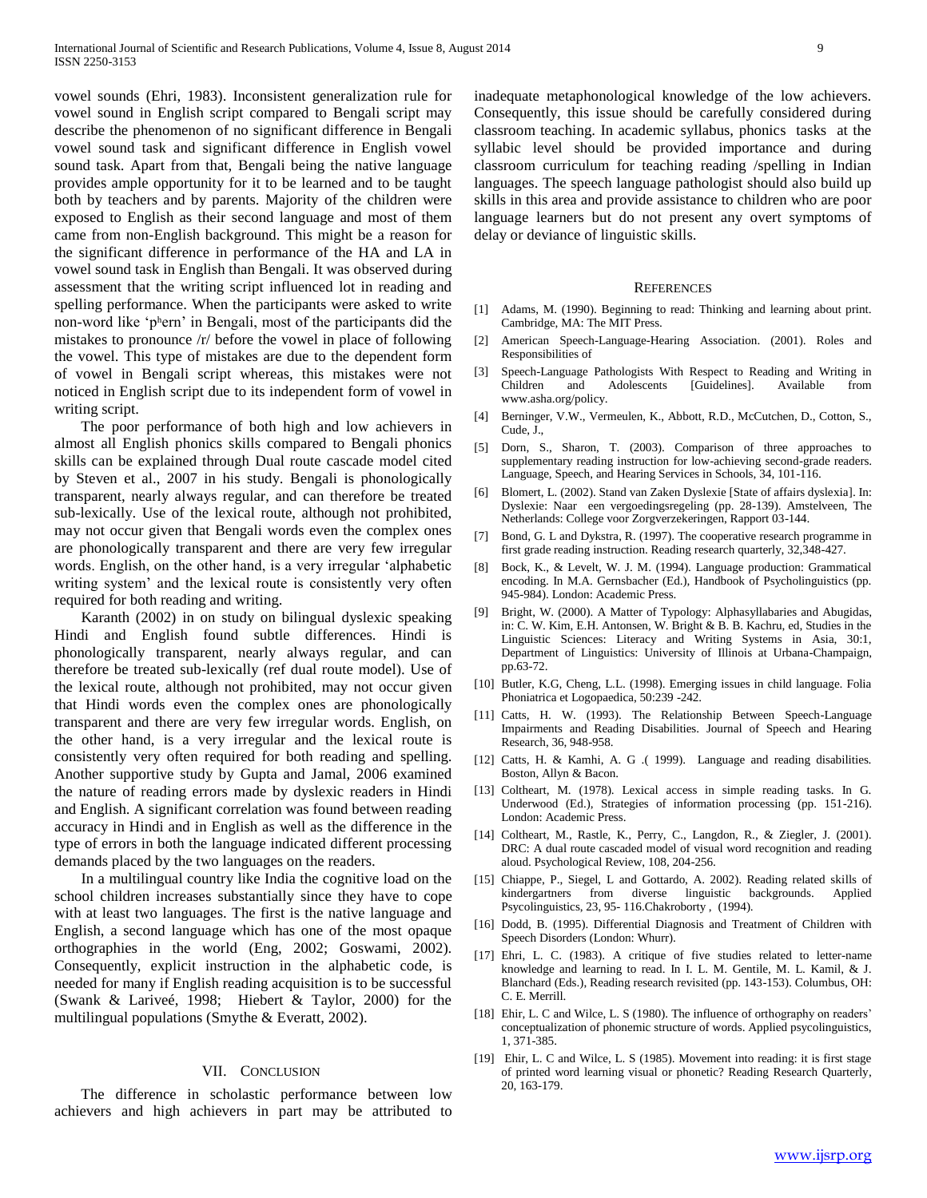vowel sounds (Ehri, 1983). Inconsistent generalization rule for vowel sound in English script compared to Bengali script may describe the phenomenon of no significant difference in Bengali vowel sound task and significant difference in English vowel sound task. Apart from that, Bengali being the native language provides ample opportunity for it to be learned and to be taught both by teachers and by parents. Majority of the children were exposed to English as their second language and most of them came from non-English background. This might be a reason for the significant difference in performance of the HA and LA in vowel sound task in English than Bengali. It was observed during assessment that the writing script influenced lot in reading and spelling performance. When the participants were asked to write non-word like 'pʰern' in Bengali, most of the participants did the mistakes to pronounce /r/ before the vowel in place of following the vowel. This type of mistakes are due to the dependent form of vowel in Bengali script whereas, this mistakes were not noticed in English script due to its independent form of vowel in writing script.

 The poor performance of both high and low achievers in almost all English phonics skills compared to Bengali phonics skills can be explained through Dual route cascade model cited by Steven et al., 2007 in his study. Bengali is phonologically transparent, nearly always regular, and can therefore be treated sub-lexically. Use of the lexical route, although not prohibited, may not occur given that Bengali words even the complex ones are phonologically transparent and there are very few irregular words. English, on the other hand, is a very irregular 'alphabetic writing system' and the lexical route is consistently very often required for both reading and writing.

 Karanth (2002) in on study on bilingual dyslexic speaking Hindi and English found subtle differences. Hindi is phonologically transparent, nearly always regular, and can therefore be treated sub-lexically (ref dual route model). Use of the lexical route, although not prohibited, may not occur given that Hindi words even the complex ones are phonologically transparent and there are very few irregular words. English, on the other hand, is a very irregular and the lexical route is consistently very often required for both reading and spelling. Another supportive study by Gupta and Jamal, 2006 examined the nature of reading errors made by dyslexic readers in Hindi and English. A significant correlation was found between reading accuracy in Hindi and in English as well as the difference in the type of errors in both the language indicated different processing demands placed by the two languages on the readers.

 In a multilingual country like India the cognitive load on the school children increases substantially since they have to cope with at least two languages. The first is the native language and English, a second language which has one of the most opaque orthographies in the world (Eng, 2002; Goswami, 2002). Consequently, explicit instruction in the alphabetic code, is needed for many if English reading acquisition is to be successful (Swank & Lariveé, 1998; Hiebert & Taylor, 2000) for the multilingual populations (Smythe & Everatt, 2002).

### VII. CONCLUSION

 The difference in scholastic performance between low achievers and high achievers in part may be attributed to inadequate metaphonological knowledge of the low achievers. Consequently, this issue should be carefully considered during classroom teaching. In academic syllabus, phonics tasks at the syllabic level should be provided importance and during classroom curriculum for teaching reading /spelling in Indian languages. The speech language pathologist should also build up skills in this area and provide assistance to children who are poor language learners but do not present any overt symptoms of delay or deviance of linguistic skills.

#### **REFERENCES**

- [1] Adams, M. (1990). Beginning to read: Thinking and learning about print. Cambridge, MA: The MIT Press.
- [2] American Speech-Language-Hearing Association. (2001). Roles and Responsibilities of
- [3] Speech-Language Pathologists With Respect to Reading and Writing in Children and Adolescents [Guidelines]. Available from www.asha.org/policy.
- [4] Berninger, V.W., Vermeulen, K., Abbott, R.D., McCutchen, D., Cotton, S., Cude, J.,
- [5] Dorn, S., Sharon, T. (2003). Comparison of three approaches to supplementary reading instruction for low-achieving second-grade readers. Language, Speech, and Hearing Services in Schools, 34, 101-116.
- [6] Blomert, L. (2002). Stand van Zaken Dyslexie [State of affairs dyslexia]. In: Dyslexie: Naar een vergoedingsregeling (pp. 28-139). Amstelveen, The Netherlands: College voor Zorgverzekeringen, Rapport 03-144.
- [7] Bond, G. L and Dykstra, R. (1997). The cooperative research programme in first grade reading instruction. Reading research quarterly, 32,348-427.
- [8] Bock, K., & Levelt, W. J. M. (1994). Language production: Grammatical encoding. In M.A. Gernsbacher (Ed.), Handbook of Psycholinguistics (pp. 945-984). London: Academic Press.
- [9] Bright, W. (2000). A Matter of Typology: Alphasyllabaries and Abugidas, in: C. W. Kim, E.H. Antonsen, W. Bright & B. B. Kachru, ed, Studies in the Linguistic Sciences: Literacy and Writing Systems in Asia, 30:1, Department of Linguistics: University of Illinois at Urbana-Champaign, pp.63-72.
- [10] Butler, K.G, Cheng, L.L. (1998). Emerging issues in child language. Folia Phoniatrica et Logopaedica, 50:239 -242.
- [11] Catts, H. W. (1993). The Relationship Between Speech-Language Impairments and Reading Disabilities. Journal of Speech and Hearing Research, 36, 948-958.
- [12] Catts, H. & Kamhi, A. G. (1999). Language and reading disabilities. Boston, Allyn & Bacon.
- [13] Coltheart, M. (1978). Lexical access in simple reading tasks. In G. Underwood (Ed.), Strategies of information processing (pp. 151-216). London: Academic Press.
- [14] Coltheart, M., Rastle, K., Perry, C., Langdon, R., & Ziegler, J. (2001). DRC: A dual route cascaded model of visual word recognition and reading aloud. Psychological Review, 108, 204-256.
- [15] Chiappe, P., Siegel, L and Gottardo, A. 2002). Reading related skills of kindergartners from diverse linguistic backgrounds. Applied Psycolinguistics, 23, 95- 116.Chakroborty , (1994).
- [16] Dodd, B. (1995). Differential Diagnosis and Treatment of Children with Speech Disorders (London: Whurr).
- [17] Ehri, L. C. (1983). A critique of five studies related to letter-name knowledge and learning to read. In I. L. M. Gentile, M. L. Kamil, & J. Blanchard (Eds.), Reading research revisited (pp. 143-153). Columbus, OH: C. E. Merrill.
- [18] Ehir, L. C and Wilce, L. S (1980). The influence of orthography on readers' conceptualization of phonemic structure of words. Applied psycolinguistics, 1, 371-385.
- [19] Ehir, L. C and Wilce, L. S (1985). Movement into reading: it is first stage of printed word learning visual or phonetic? Reading Research Quarterly, 20, 163-179.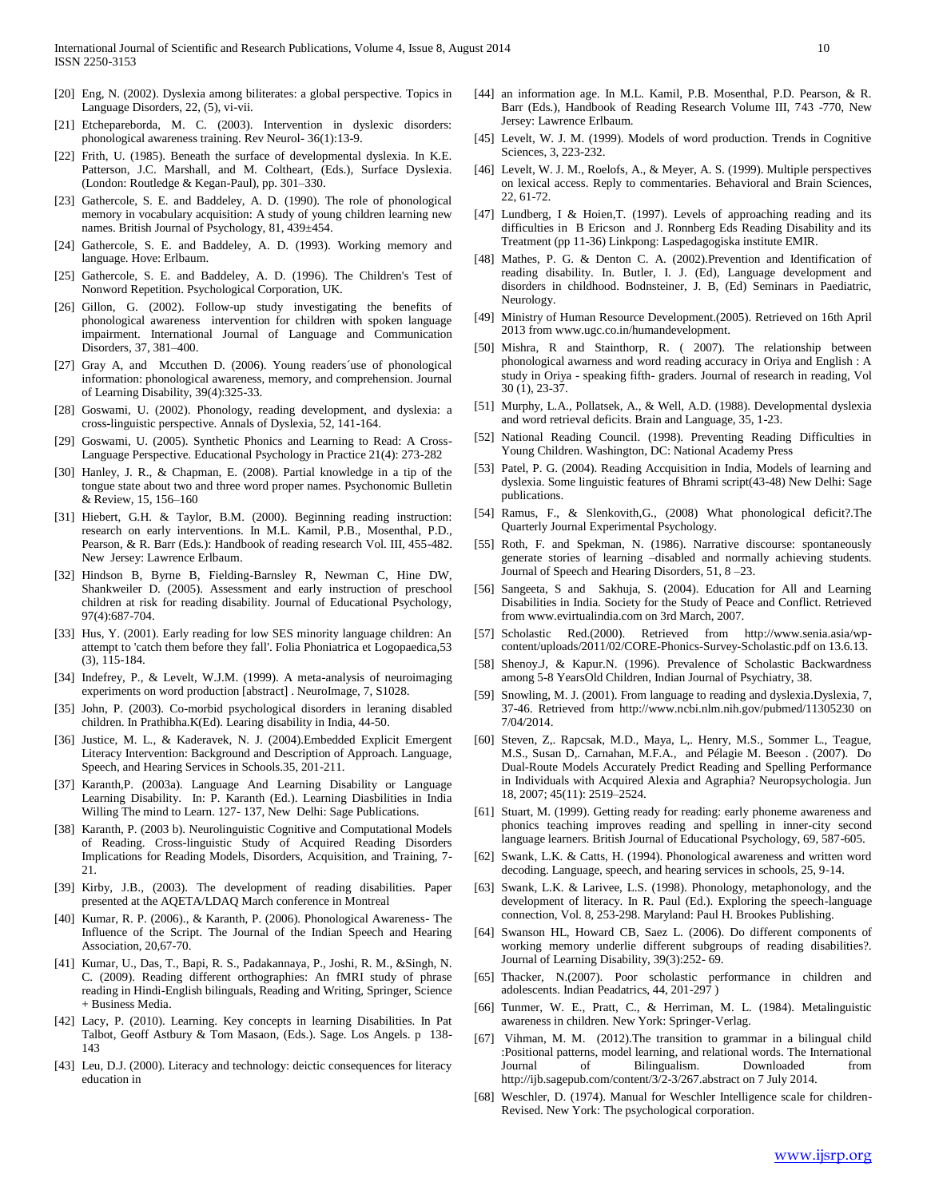- [20] Eng, N. (2002). Dyslexia among biliterates: a global perspective. Topics in Language Disorders, 22, (5), vi-vii.
- [21] Etchepareborda, M. C. (2003). Intervention in dyslexic disorders: phonological awareness training. Rev Neurol- 36(1):13-9.
- [22] Frith, U. (1985). Beneath the surface of developmental dyslexia. In K.E. Patterson, J.C. Marshall, and M. Coltheart, (Eds.), Surface Dyslexia. (London: Routledge & Kegan-Paul), pp. 301–330.
- [23] Gathercole, S. E. and Baddeley, A. D. (1990). The role of phonological memory in vocabulary acquisition: A study of young children learning new names. British Journal of Psychology, 81, 439±454.
- [24] Gathercole, S. E. and Baddeley, A. D. (1993). Working memory and language. Hove: Erlbaum.
- [25] Gathercole, S. E. and Baddeley, A. D. (1996). The Children's Test of Nonword Repetition. Psychological Corporation, UK.
- [26] Gillon, G. (2002). Follow-up study investigating the benefits of phonological awareness intervention for children with spoken language impairment. International Journal of Language and Communication Disorders, 37, 381–400.
- [27] Gray A, and Mccuthen D. (2006). Young readers'use of phonological information: phonological awareness, memory, and comprehension. Journal of Learning Disability, 39(4):325-33.
- [28] Goswami, U. (2002). Phonology, reading development, and dyslexia: a cross-linguistic perspective. Annals of Dyslexia, 52, 141-164.
- [29] Goswami, U. (2005). Synthetic Phonics and Learning to Read: A Cross-Language Perspective. Educational Psychology in Practice 21(4): 273-282
- [30] Hanley, J. R., & Chapman, E. (2008). Partial knowledge in a tip of the tongue state about two and three word proper names. Psychonomic Bulletin & Review, 15, 156–160
- [31] Hiebert, G.H. & Taylor, B.M. (2000). Beginning reading instruction: research on early interventions. In M.L. Kamil, P.B., Mosenthal, P.D., Pearson, & R. Barr (Eds.): Handbook of reading research Vol. III, 455-482. New Jersey: Lawrence Erlbaum.
- [32] Hindson B, Byrne B, Fielding-Barnsley R, Newman C, Hine DW, Shankweiler D. (2005). Assessment and early instruction of preschool children at risk for reading disability. Journal of Educational Psychology, 97(4):687-704.
- [33] Hus, Y. (2001). Early reading for low SES minority language children: An attempt to 'catch them before they fall'. Folia Phoniatrica et Logopaedica,53 (3), 115-184.
- [34] Indefrey, P., & Levelt, W.J.M. (1999). A meta-analysis of neuroimaging experiments on word production [abstract] . NeuroImage, 7, S1028.
- [35] John, P. (2003). Co-morbid psychological disorders in leraning disabled children. In Prathibha.K(Ed). Learing disability in India, 44-50.
- [36] Justice, M. L., & Kaderavek, N. J. (2004).Embedded Explicit Emergent Literacy Intervention: Background and Description of Approach. Language, Speech, and Hearing Services in Schools.35, 201-211.
- [37] Karanth,P. (2003a). Language And Learning Disability or Language Learning Disability. In: P. Karanth (Ed.). Learning Diasbilities in India Willing The mind to Learn. 127- 137, New Delhi: Sage Publications.
- [38] Karanth, P. (2003 b). Neurolinguistic Cognitive and Computational Models of Reading. Cross-linguistic Study of Acquired Reading Disorders Implications for Reading Models, Disorders, Acquisition, and Training, 7- 21.
- [39] Kirby, J.B., (2003). The development of reading disabilities. Paper presented at the AQETA/LDAQ March conference in Montreal
- [40] Kumar, R. P. (2006)., & Karanth, P. (2006). Phonological Awareness- The Influence of the Script. The Journal of the Indian Speech and Hearing Association, 20,67-70.
- [41] Kumar, U., Das, T., Bapi, R. S., Padakannaya, P., Joshi, R. M., &Singh, N. C. (2009). Reading different orthographies: An fMRI study of phrase reading in Hindi-English bilinguals, Reading and Writing, Springer, Science + Business Media.
- [42] Lacy, P. (2010). Learning. Key concepts in learning Disabilities. In Pat Talbot, Geoff Astbury & Tom Masaon, (Eds.). Sage. Los Angels. p 138- 143
- [43] Leu, D.J. (2000). Literacy and technology: deictic consequences for literacy education in
- [44] an information age. In M.L. Kamil, P.B. Mosenthal, P.D. Pearson, & R. Barr (Eds.), Handbook of Reading Research Volume III, 743 -770, New Jersey: Lawrence Erlbaum.
- [45] Levelt, W. J. M. (1999). Models of word production. Trends in Cognitive Sciences, 3, 223-232.
- [46] Levelt, W. J. M., Roelofs, A., & Meyer, A. S. (1999). Multiple perspectives on lexical access. Reply to commentaries. Behavioral and Brain Sciences, 22, 61-72.
- [47] Lundberg, I & Hoien,T. (1997). Levels of approaching reading and its difficulties in B Ericson and J. Ronnberg Eds Reading Disability and its Treatment (pp 11-36) Linkpong: Laspedagogiska institute EMIR.
- [48] Mathes, P. G. & Denton C. A. (2002).Prevention and Identification of reading disability. In. Butler, I. J. (Ed), Language development and disorders in childhood. Bodnsteiner, J. B, (Ed) Seminars in Paediatric, Neurology.
- [49] Ministry of Human Resource Development.(2005). Retrieved on 16th April 2013 from www.ugc.co.in/humandevelopment.
- [50] Mishra, R and Stainthorp, R. ( 2007). The relationship between phonological awarness and word reading accuracy in Oriya and English : A study in Oriya - speaking fifth- graders. Journal of research in reading, Vol 30 (1), 23-37.
- [51] Murphy, L.A., Pollatsek, A., & Well, A.D. (1988). Developmental dyslexia and word retrieval deficits. Brain and Language, 35, 1-23.
- [52] National Reading Council. (1998). Preventing Reading Difficulties in Young Children. Washington, DC: National Academy Press
- [53] Patel, P. G. (2004). Reading Accquisition in India, Models of learning and dyslexia. Some linguistic features of Bhrami script(43-48) New Delhi: Sage publications.
- [54] Ramus, F., & Slenkovith,G., (2008) What phonological deficit?.The Quarterly Journal Experimental Psychology.
- [55] Roth, F. and Spekman, N. (1986). Narrative discourse: spontaneously generate stories of learning –disabled and normally achieving students. Journal of Speech and Hearing Disorders, 51, 8 –23.
- [56] Sangeeta, S and Sakhuja, S. (2004). Education for All and Learning Disabilities in India. Society for the Study of Peace and Conflict. Retrieved from www.evirtualindia.com on 3rd March, 2007.
- [57] Scholastic Red.(2000). Retrieved from http://www.senia.asia/wpcontent/uploads/2011/02/CORE-Phonics-Survey-Scholastic.pdf on 13.6.13.
- [58] Shenoy.J, & Kapur.N. (1996). Prevalence of Scholastic Backwardness among 5-8 YearsOld Children, Indian Journal of Psychiatry, 38.
- [59] Snowling, M. J. (2001). From language to reading and dyslexia.Dyslexia, 7, 37-46. Retrieved from http://www.ncbi.nlm.nih.gov/pubmed/11305230 on 7/04/2014.
- [60] Steven, Z,. Rapcsak, M.D., Maya, L,. Henry, M.S., Sommer L., Teague, M.S., Susan D,. Carnahan, M.F.A., and Pélagie M. Beeson . (2007). Do Dual-Route Models Accurately Predict Reading and Spelling Performance in Individuals with Acquired Alexia and Agraphia? Neuropsychologia. Jun 18, 2007; 45(11): 2519–2524.
- [61] Stuart, M. (1999). Getting ready for reading: early phoneme awareness and phonics teaching improves reading and spelling in inner-city second language learners. British Journal of Educational Psychology, 69, 587-605.
- [62] Swank, L.K. & Catts, H. (1994). Phonological awareness and written word decoding. Language, speech, and hearing services in schools, 25, 9-14.
- [63] Swank, L.K. & Larivee, L.S. (1998). Phonology, metaphonology, and the development of literacy. In R. Paul (Ed.). Exploring the speech-language connection, Vol. 8, 253-298. Maryland: Paul H. Brookes Publishing.
- [64] Swanson HL, Howard CB, Saez L. (2006). Do different components of working memory underlie different subgroups of reading disabilities?. Journal of Learning Disability, 39(3):252- 69.
- [65] Thacker, N.(2007). Poor scholastic performance in children and adolescents. Indian Peadatrics, 44, 201-297 )
- [66] Tunmer, W. E., Pratt, C., & Herriman, M. L. (1984). Metalinguistic awareness in children. New York: Springer-Verlag.
- [67] Vihman, M. M. (2012).The transition to grammar in a bilingual child :Positional patterns, model learning, and relational words. The International Journal of Bilingualism. Downloaded from http://ijb.sagepub.com/content/3/2-3/267.abstract on 7 July 2014.
- [68] Weschler, D. (1974). Manual for Weschler Intelligence scale for children-Revised. New York: The psychological corporation.